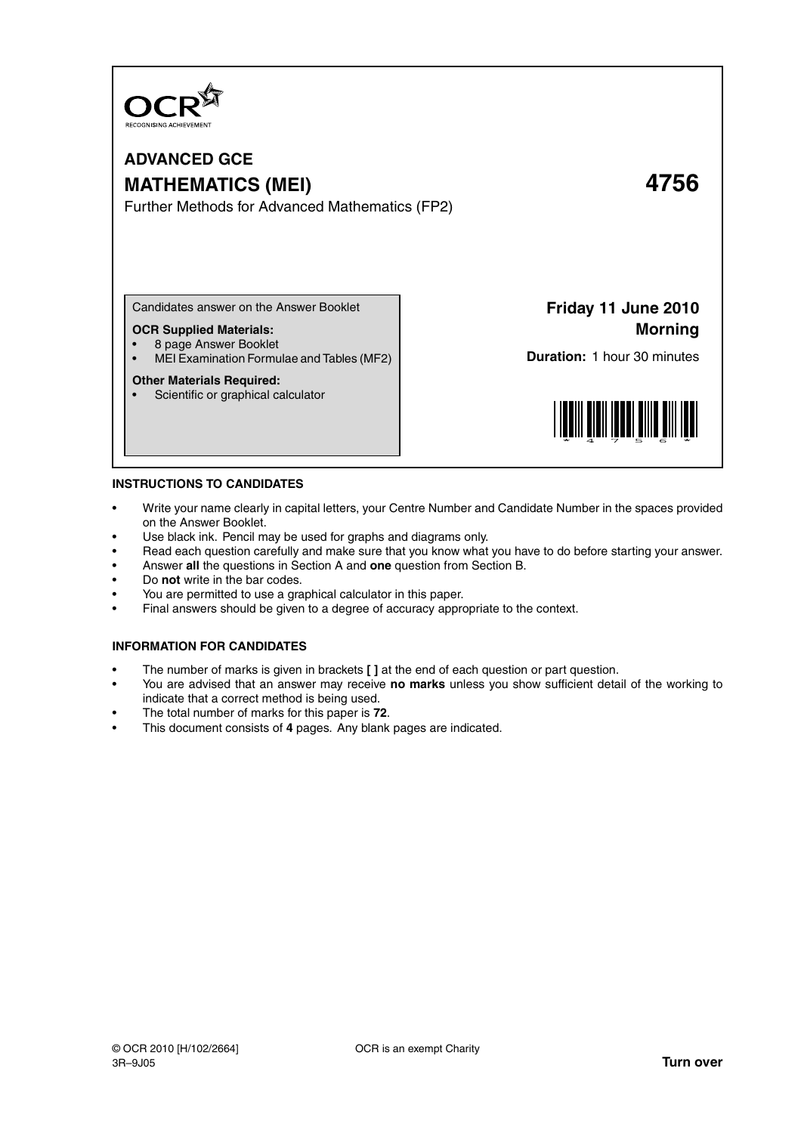

# **ADVANCED GCE MATHEMATICS (MEI) 4756**

Further Methods for Advanced Mathematics (FP2)

Candidates answer on the Answer Booklet

### **OCR Supplied Materials:**

- 8 page Answer Booklet
- MEI Examination Formulae and Tables (MF2)

#### **Other Materials Required:**

• Scientific or graphical calculator

**Friday 11 June 2010 Morning**

**Duration:** 1 hour 30 minutes



#### **INSTRUCTIONS TO CANDIDATES**

- Write your name clearly in capital letters, your Centre Number and Candidate Number in the spaces provided on the Answer Booklet.
- Use black ink. Pencil may be used for graphs and diagrams only.
- Read each question carefully and make sure that you know what you have to do before starting your answer.
- Answer **all** the questions in Section A and **one** question from Section B.
- Do **not** write in the bar codes.
- You are permitted to use a graphical calculator in this paper.
- Final answers should be given to a degree of accuracy appropriate to the context.

### **INFORMATION FOR CANDIDATES**

- The number of marks is given in brackets **[ ]** at the end of each question or part question.
- You are advised that an answer may receive **no marks** unless you show sufficient detail of the working to indicate that a correct method is being used.
- The total number of marks for this paper is **72**.
- This document consists of **4** pages. Any blank pages are indicated.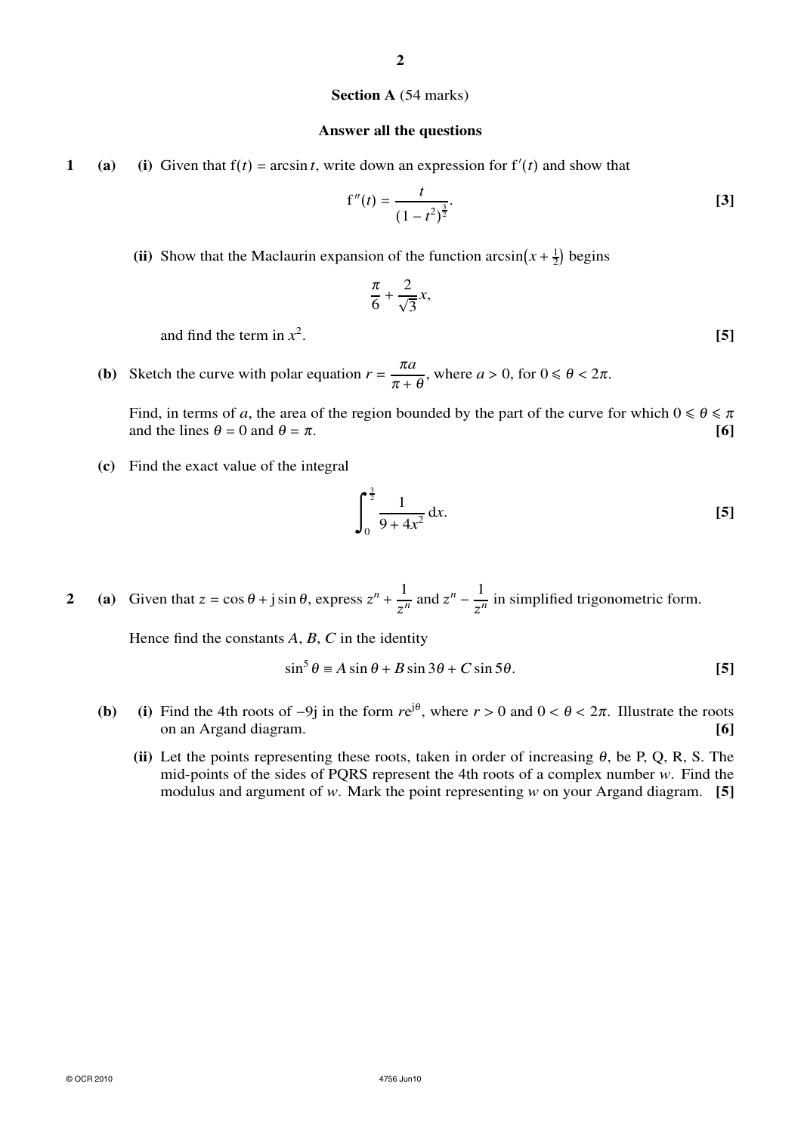# **Section A** (54 marks)

#### **Answer all the questions**

**1** (a) (i) Given that  $f(t) = \arcsin t$ , write down an expression for  $f'(t)$  and show that

$$
f''(t) = \frac{t}{(1 - t^2)^{\frac{3}{2}}}.
$$
 [3]

(ii) Show that the Maclaurin expansion of the function  $\arcsin(x + \frac{1}{2})$  begins

$$
\frac{\pi}{6} + \frac{2}{\sqrt{3}}x,
$$

and find the term in  $x^2$ 

**(b)** Sketch the curve with polar equation  $r = \frac{\pi a}{\pi + 1}$  $\frac{na}{\pi + \theta}$ , where  $a > 0$ , for  $0 \le \theta < 2\pi$ .

Find, in terms of *a*, the area of the region bounded by the part of the curve for which  $0 \le \theta \le \pi$ and the lines  $\theta = 0$  and  $\theta = \pi$ . **[6]** 

**(c)** Find the exact value of the integral

$$
\int_0^{\frac{3}{2}} \frac{1}{9 + 4x^2} \, \mathrm{d}x. \tag{5}
$$

**2** (a) Given that  $z = \cos \theta + j \sin \theta$ , express  $z^n + \frac{1}{z^n}$  $rac{1}{z^n}$  and  $z^n - \frac{1}{z'}$  $\frac{1}{z^n}$  in simplified trigonometric form.

Hence find the constants  $A$ ,  $B$ ,  $C$  in the identity

$$
\sin^5 \theta \equiv A \sin \theta + B \sin 3\theta + C \sin 5\theta.
$$
 [5]

- **(b)** (i) Find the 4th roots of  $-9j$  in the form  $re^{j\theta}$ , where  $r > 0$  and  $0 < \theta < 2\pi$ . Illustrate the roots on an Argand diagram. **[6]**
	- **(ii)** Let the points representing these roots, taken in order of increasing <sup>θ</sup>, be P, Q, R, S. The mid-points of the sides of PQRS represent the 4th roots of a complex number *w*. Find the modulus and argument of *w*. Mark the point representing *w* on your Argand diagram. **[5]**

. **[5]**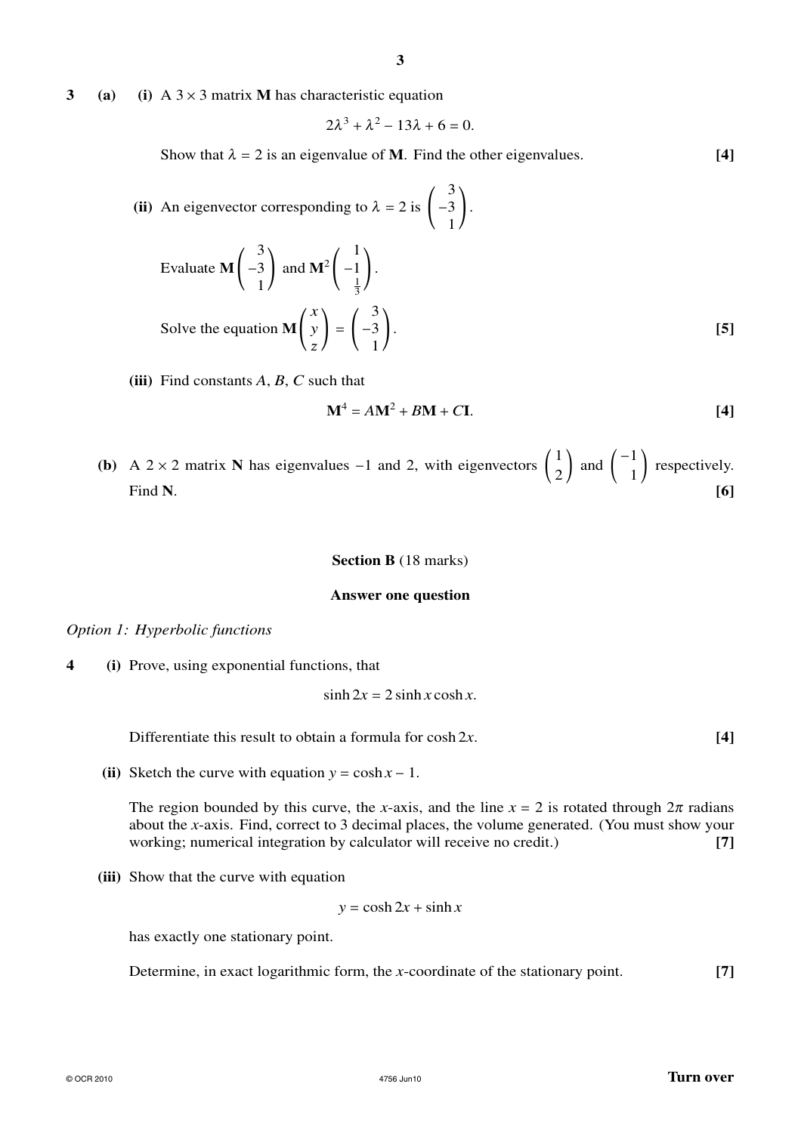**3** (a) (i)  $A$  3  $\times$  3 matrix **M** has characteristic equation

$$
2\lambda^3 + \lambda^2 - 13\lambda + 6 = 0.
$$

Show that  $\lambda = 2$  is an eigenvalue of **M**. Find the other eigenvalues. **[4]** 

(ii) An eigenvector corresponding to  $\lambda = 2$  is 3 −3 1  $\cdot$ 

Evaluate 
$$
\mathbf{M} \begin{pmatrix} 3 \\ -3 \\ 1 \end{pmatrix}
$$
 and  $\mathbf{M}^2 \begin{pmatrix} 1 \\ -1 \\ \frac{1}{3} \end{pmatrix}$ .  
Solve the equation  $\mathbf{M} \begin{pmatrix} x \\ y \\ z \end{pmatrix} = \begin{pmatrix} 3 \\ -3 \\ 1 \end{pmatrix}$ . [5]

**(iii)** Find constants *A*, *B*, *C* such that

$$
\mathbf{M}^4 = A\mathbf{M}^2 + B\mathbf{M} + C\mathbf{I}.\tag{4}
$$

**(b)** A 2 × 2 matrix **N** has eigenvalues –1 and 2, with eigenvectors  $\begin{pmatrix} 1 \\ 2 \end{pmatrix}$  $\binom{1}{2}$  and  $\binom{-1}{1}$  $\begin{pmatrix} 1 \\ 1 \end{pmatrix}$  respectively. Find **N**. **[6]**

#### **Section B** (18 marks)

### **Answer one question**

### *Option 1: Hyperbolic functions*

**4 (i)** Prove, using exponential functions, that

 $\sinh 2x = 2 \sinh x \cosh x$ .

Differentiate this result to obtain a formula for cosh 2*x*. **[4]**

(ii) Sketch the curve with equation  $y = \cosh x - 1$ .

The region bounded by this curve, the *x*-axis, and the line  $x = 2$  is rotated through  $2\pi$  radians about the *x*-axis. Find, correct to 3 decimal places, the volume generated. (You must show your working; numerical integration by calculator will receive no credit.) **[7]**

**(iii)** Show that the curve with equation

 $y = \cosh 2x + \sinh x$ 

has exactly one stationary point.

Determine, in exact logarithmic form, the *x*-coordinate of the stationary point. **[7]**